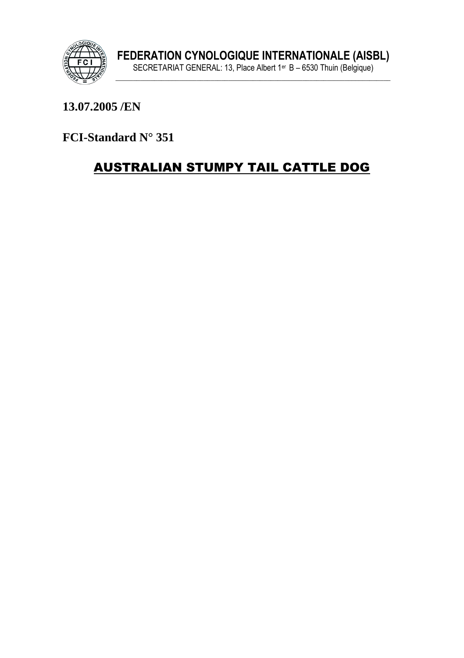

#### 13.07.2005/EN

FCI-Standard N° 351

# **AUSTRALIAN STUMPY TAIL CATTLE DOG**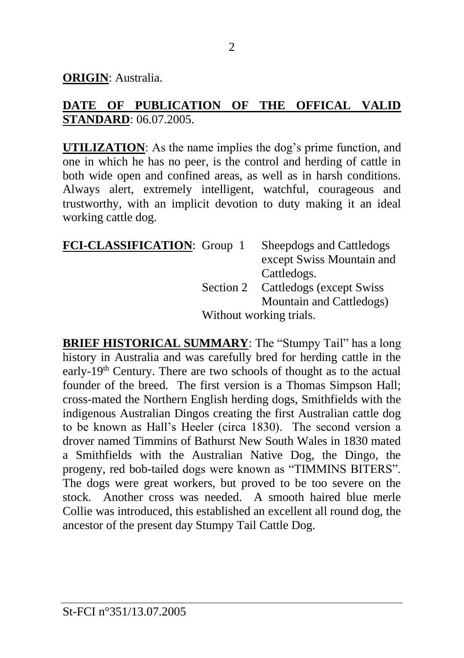**ORIGIN**: Australia.

### **DATE OF PUBLICATION OF THE OFFICAL VALID STANDARD**: 06.07.2005.

**UTILIZATION**: As the name implies the dog's prime function, and one in which he has no peer, is the control and herding of cattle in both wide open and confined areas, as well as in harsh conditions. Always alert, extremely intelligent, watchful, courageous and trustworthy, with an implicit devotion to duty making it an ideal working cattle dog.

| FCI-CLASSIFICATION: Group 1 |                         | Sheepdogs and Cattledogs           |
|-----------------------------|-------------------------|------------------------------------|
|                             |                         | except Swiss Mountain and          |
|                             |                         | Cattledogs.                        |
|                             |                         | Section 2 Cattledogs (except Swiss |
|                             |                         | Mountain and Cattledogs)           |
|                             | Without working trials. |                                    |

**BRIEF HISTORICAL SUMMARY**: The "Stumpy Tail" has a long history in Australia and was carefully bred for herding cattle in the early-19th Century. There are two schools of thought as to the actual founder of the breed. The first version is a Thomas Simpson Hall; cross-mated the Northern English herding dogs, Smithfields with the indigenous Australian Dingos creating the first Australian cattle dog to be known as Hall's Heeler (circa 1830). The second version a drover named Timmins of Bathurst New South Wales in 1830 mated a Smithfields with the Australian Native Dog, the Dingo, the progeny, red bob-tailed dogs were known as "TIMMINS BITERS". The dogs were great workers, but proved to be too severe on the stock. Another cross was needed. A smooth haired blue merle Collie was introduced, this established an excellent all round dog, the ancestor of the present day Stumpy Tail Cattle Dog.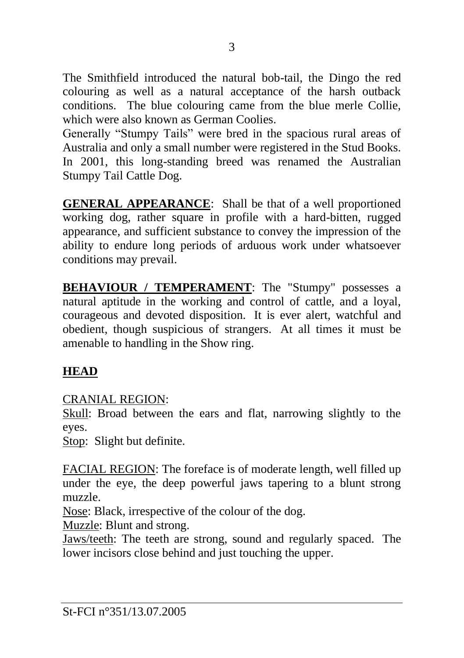The Smithfield introduced the natural bob-tail, the Dingo the red colouring as well as a natural acceptance of the harsh outback conditions. The blue colouring came from the blue merle Collie, which were also known as German Coolies.

Generally "Stumpy Tails" were bred in the spacious rural areas of Australia and only a small number were registered in the Stud Books. In 2001, this long-standing breed was renamed the Australian Stumpy Tail Cattle Dog.

**GENERAL APPEARANCE**: Shall be that of a well proportioned working dog, rather square in profile with a hard-bitten, rugged appearance, and sufficient substance to convey the impression of the ability to endure long periods of arduous work under whatsoever conditions may prevail.

**BEHAVIOUR / TEMPERAMENT**: The "Stumpy" possesses a natural aptitude in the working and control of cattle, and a loyal, courageous and devoted disposition. It is ever alert, watchful and obedient, though suspicious of strangers. At all times it must be amenable to handling in the Show ring.

## **HEAD**

CRANIAL REGION:

Skull: Broad between the ears and flat, narrowing slightly to the eyes.

Stop: Slight but definite.

FACIAL REGION: The foreface is of moderate length, well filled up under the eye, the deep powerful jaws tapering to a blunt strong muzzle.

Nose: Black, irrespective of the colour of the dog.

Muzzle: Blunt and strong.

Jaws/teeth: The teeth are strong, sound and regularly spaced. The lower incisors close behind and just touching the upper.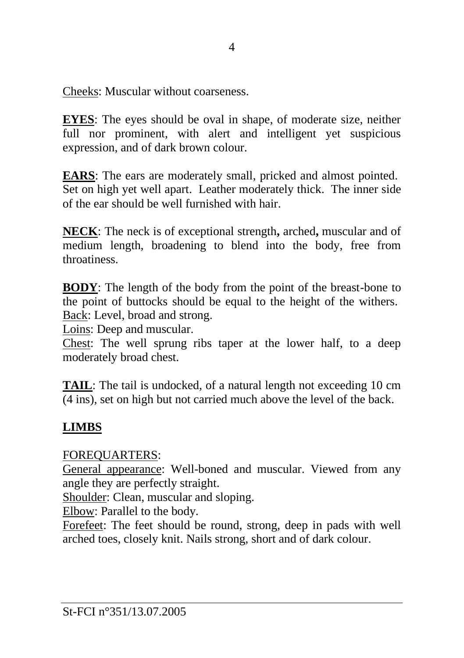Cheeks: Muscular without coarseness.

**EYES**: The eyes should be oval in shape, of moderate size, neither full nor prominent, with alert and intelligent yet suspicious expression, and of dark brown colour.

**EARS**: The ears are moderately small, pricked and almost pointed. Set on high yet well apart. Leather moderately thick. The inner side of the ear should be well furnished with hair.

**NECK**: The neck is of exceptional strength**,** arched**,** muscular and of medium length, broadening to blend into the body, free from throatiness.

**BODY**: The length of the body from the point of the breast-bone to the point of buttocks should be equal to the height of the withers. Back: Level, broad and strong.

Loins: Deep and muscular.

Chest: The well sprung ribs taper at the lower half, to a deep moderately broad chest.

**TAIL**: The tail is undocked, of a natural length not exceeding 10 cm (4 ins), set on high but not carried much above the level of the back.

## **LIMBS**

## FOREQUARTERS:

General appearance: Well-boned and muscular. Viewed from any angle they are perfectly straight.

Shoulder: Clean, muscular and sloping.

Elbow: Parallel to the body.

Forefeet: The feet should be round, strong, deep in pads with well arched toes, closely knit. Nails strong, short and of dark colour.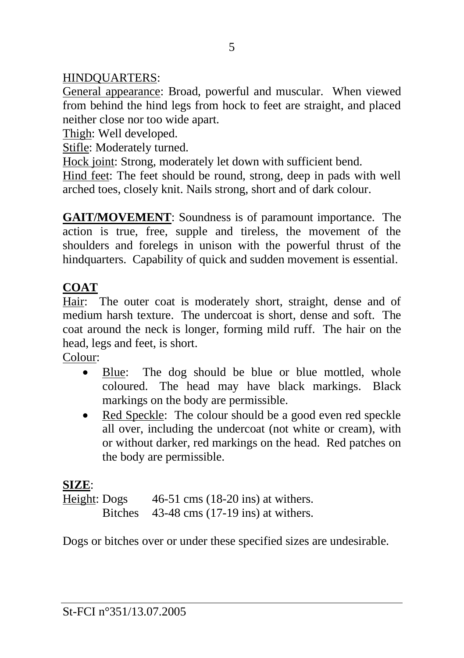## HINDQUARTERS:

General appearance: Broad, powerful and muscular. When viewed from behind the hind legs from hock to feet are straight, and placed neither close nor too wide apart.

Thigh: Well developed.

Stifle: Moderately turned.

Hock joint: Strong, moderately let down with sufficient bend.

Hind feet: The feet should be round, strong, deep in pads with well arched toes, closely knit. Nails strong, short and of dark colour.

**GAIT/MOVEMENT**: Soundness is of paramount importance. The action is true, free, supple and tireless, the movement of the shoulders and forelegs in unison with the powerful thrust of the hindquarters. Capability of quick and sudden movement is essential.

### **COAT**

Hair: The outer coat is moderately short, straight, dense and of medium harsh texture. The undercoat is short, dense and soft. The coat around the neck is longer, forming mild ruff. The hair on the head, legs and feet, is short.

Colour:

- Blue: The dog should be blue or blue mottled, whole coloured. The head may have black markings. Black markings on the body are permissible.
- Red Speckle: The colour should be a good even red speckle all over, including the undercoat (not white or cream), with or without darker, red markings on the head. Red patches on the body are permissible.

## **SIZE**:

Height: Dogs 46-51 cms (18-20 ins) at withers. Bitches 43-48 cms (17-19 ins) at withers.

Dogs or bitches over or under these specified sizes are undesirable.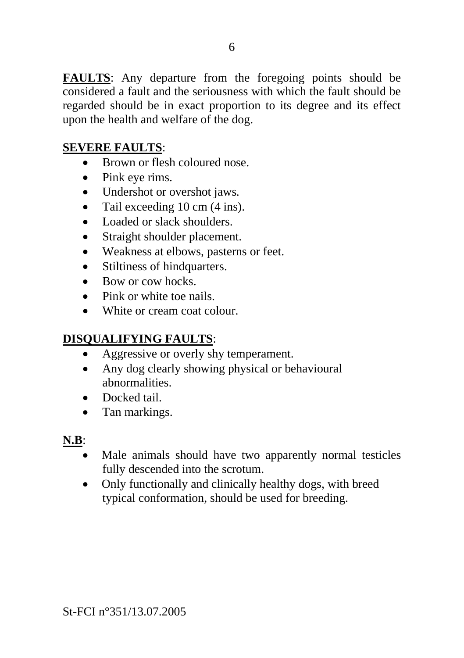**FAULTS**: Any departure from the foregoing points should be considered a fault and the seriousness with which the fault should be regarded should be in exact proportion to its degree and its effect upon the health and welfare of the dog.

#### **SEVERE FAULTS**:

- Brown or flesh coloured nose.
- Pink eye rims.
- Undershot or overshot jaws.
- Tail exceeding 10 cm (4 ins).
- Loaded or slack shoulders.
- Straight shoulder placement.
- Weakness at elbows, pasterns or feet.
- Stiltiness of hindquarters.
- Bow or cow hocks.
- Pink or white toe nails.
- White or cream coat colour

### **DISQUALIFYING FAULTS**:

- Aggressive or overly shy temperament.
- Any dog clearly showing physical or behavioural abnormalities.
- Docked tail
- Tan markings.

**N.B**:

- Male animals should have two apparently normal testicles fully descended into the scrotum.
- Only functionally and clinically healthy dogs, with breed typical conformation, should be used for breeding.